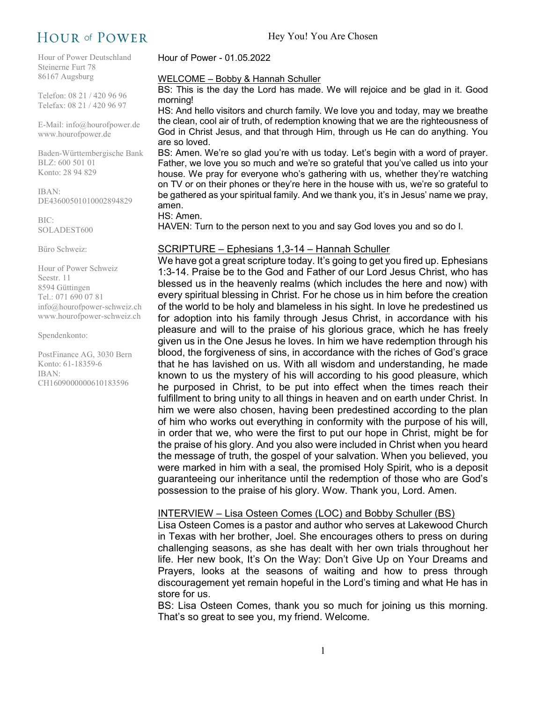# HOUR of POWER

Hour of Power Deutschland Steinerne Furt 78 86167 Augsburg

Telefon: 08 21 / 420 96 96 Telefax: 08 21 / 420 96 97

E-Mail: info@hourofpower.de www.hourofpower.de

Baden-Württembergische Bank BLZ: 600 501 01 Konto: 28 94 829

IBAN: DE43600501010002894829

BIC: SOLADEST600

Büro Schweiz:

Hour of Power Schweiz Seestr. 11 8594 Güttingen Tel.: 071 690 07 81 info@hourofpower-schweiz.ch www.hourofpower-schweiz.ch

Spendenkonto:

PostFinance AG, 3030 Bern Konto: 61-18359-6 IBAN: CH1609000000610183596

Hour of Power - 01.05.2022

#### WELCOME – Bobby & Hannah Schuller

BS: This is the day the Lord has made. We will rejoice and be glad in it. Good morning!

HS: And hello visitors and church family. We love you and today, may we breathe the clean, cool air of truth, of redemption knowing that we are the righteousness of God in Christ Jesus, and that through Him, through us He can do anything. You are so loved.

BS: Amen. We're so glad you're with us today. Let's begin with a word of prayer. Father, we love you so much and we're so grateful that you've called us into your house. We pray for everyone who's gathering with us, whether they're watching on TV or on their phones or they're here in the house with us, we're so grateful to be gathered as your spiritual family. And we thank you, it's in Jesus' name we pray, amen.

#### HS: Amen.

HAVEN: Turn to the person next to you and say God loves you and so do I.

# SCRIPTURE – Ephesians 1,3-14 – Hannah Schuller

We have got a great scripture today. It's going to get you fired up. Ephesians 1:3-14. Praise be to the God and Father of our Lord Jesus Christ, who has blessed us in the heavenly realms (which includes the here and now) with every spiritual blessing in Christ. For he chose us in him before the creation of the world to be holy and blameless in his sight. In love he predestined us for adoption into his family through Jesus Christ, in accordance with his pleasure and will to the praise of his glorious grace, which he has freely given us in the One Jesus he loves. In him we have redemption through his blood, the forgiveness of sins, in accordance with the riches of God's grace that he has lavished on us. With all wisdom and understanding, he made known to us the mystery of his will according to his good pleasure, which he purposed in Christ, to be put into effect when the times reach their fulfillment to bring unity to all things in heaven and on earth under Christ. In him we were also chosen, having been predestined according to the plan of him who works out everything in conformity with the purpose of his will, in order that we, who were the first to put our hope in Christ, might be for the praise of his glory. And you also were included in Christ when you heard the message of truth, the gospel of your salvation. When you believed, you were marked in him with a seal, the promised Holy Spirit, who is a deposit guaranteeing our inheritance until the redemption of those who are God's possession to the praise of his glory. Wow. Thank you, Lord. Amen.

#### INTERVIEW – Lisa Osteen Comes (LOC) and Bobby Schuller (BS)

Lisa Osteen Comes is a pastor and author who serves at Lakewood Church in Texas with her brother, Joel. She encourages others to press on during challenging seasons, as she has dealt with her own trials throughout her life. Her new book, It's On the Way: Don't Give Up on Your Dreams and Prayers, looks at the seasons of waiting and how to press through discouragement yet remain hopeful in the Lord's timing and what He has in store for us.

BS: Lisa Osteen Comes, thank you so much for joining us this morning. That's so great to see you, my friend. Welcome.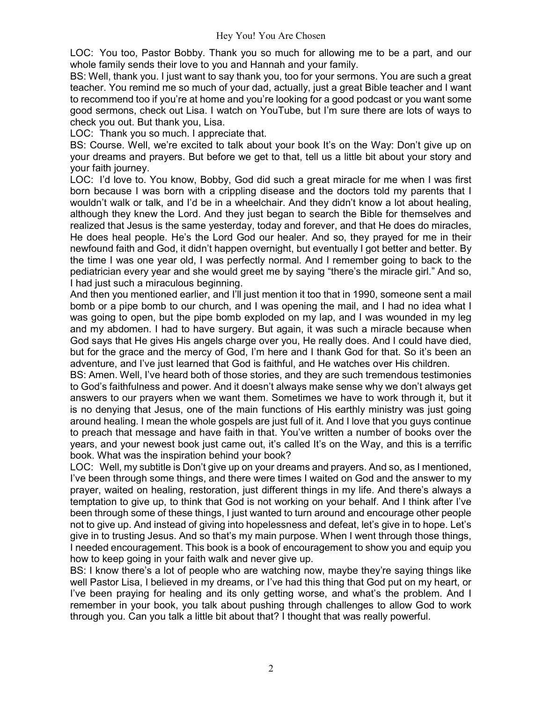LOC: You too, Pastor Bobby. Thank you so much for allowing me to be a part, and our whole family sends their love to you and Hannah and your family.

BS: Well, thank you. I just want to say thank you, too for your sermons. You are such a great teacher. You remind me so much of your dad, actually, just a great Bible teacher and I want to recommend too if you're at home and you're looking for a good podcast or you want some good sermons, check out Lisa. I watch on YouTube, but I'm sure there are lots of ways to check you out. But thank you, Lisa.

LOC: Thank you so much. I appreciate that.

BS: Course. Well, we're excited to talk about your book It's on the Way: Don't give up on your dreams and prayers. But before we get to that, tell us a little bit about your story and your faith journey.

LOC: I'd love to. You know, Bobby, God did such a great miracle for me when I was first born because I was born with a crippling disease and the doctors told my parents that I wouldn't walk or talk, and I'd be in a wheelchair. And they didn't know a lot about healing, although they knew the Lord. And they just began to search the Bible for themselves and realized that Jesus is the same yesterday, today and forever, and that He does do miracles, He does heal people. He's the Lord God our healer. And so, they prayed for me in their newfound faith and God, it didn't happen overnight, but eventually I got better and better. By the time I was one year old, I was perfectly normal. And I remember going to back to the pediatrician every year and she would greet me by saying "there's the miracle girl." And so, I had just such a miraculous beginning.

And then you mentioned earlier, and I'll just mention it too that in 1990, someone sent a mail bomb or a pipe bomb to our church, and I was opening the mail, and I had no idea what I was going to open, but the pipe bomb exploded on my lap, and I was wounded in my leg and my abdomen. I had to have surgery. But again, it was such a miracle because when God says that He gives His angels charge over you, He really does. And I could have died, but for the grace and the mercy of God, I'm here and I thank God for that. So it's been an adventure, and I've just learned that God is faithful, and He watches over His children.

BS: Amen. Well, I've heard both of those stories, and they are such tremendous testimonies to God's faithfulness and power. And it doesn't always make sense why we don't always get answers to our prayers when we want them. Sometimes we have to work through it, but it is no denying that Jesus, one of the main functions of His earthly ministry was just going around healing. I mean the whole gospels are just full of it. And I love that you guys continue to preach that message and have faith in that. You've written a number of books over the years, and your newest book just came out, it's called It's on the Way, and this is a terrific book. What was the inspiration behind your book?

LOC: Well, my subtitle is Don't give up on your dreams and prayers. And so, as I mentioned, I've been through some things, and there were times I waited on God and the answer to my prayer, waited on healing, restoration, just different things in my life. And there's always a temptation to give up, to think that God is not working on your behalf. And I think after I've been through some of these things, I just wanted to turn around and encourage other people not to give up. And instead of giving into hopelessness and defeat, let's give in to hope. Let's give in to trusting Jesus. And so that's my main purpose. When I went through those things, I needed encouragement. This book is a book of encouragement to show you and equip you how to keep going in your faith walk and never give up.

BS: I know there's a lot of people who are watching now, maybe they're saying things like well Pastor Lisa, I believed in my dreams, or I've had this thing that God put on my heart, or I've been praying for healing and its only getting worse, and what's the problem. And I remember in your book, you talk about pushing through challenges to allow God to work through you. Can you talk a little bit about that? I thought that was really powerful.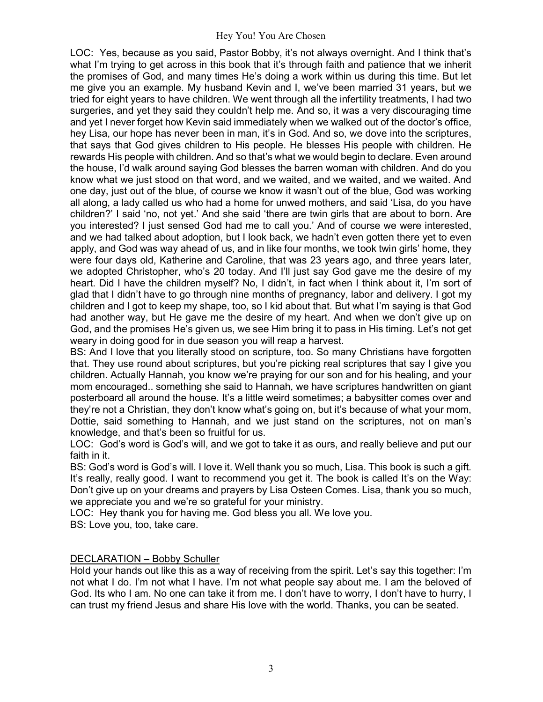LOC: Yes, because as you said, Pastor Bobby, it's not always overnight. And I think that's what I'm trying to get across in this book that it's through faith and patience that we inherit the promises of God, and many times He's doing a work within us during this time. But let me give you an example. My husband Kevin and I, we've been married 31 years, but we tried for eight years to have children. We went through all the infertility treatments, I had two surgeries, and yet they said they couldn't help me. And so, it was a very discouraging time and yet I never forget how Kevin said immediately when we walked out of the doctor's office, hey Lisa, our hope has never been in man, it's in God. And so, we dove into the scriptures, that says that God gives children to His people. He blesses His people with children. He rewards His people with children. And so that's what we would begin to declare. Even around the house, I'd walk around saying God blesses the barren woman with children. And do you know what we just stood on that word, and we waited, and we waited, and we waited. And one day, just out of the blue, of course we know it wasn't out of the blue, God was working all along, a lady called us who had a home for unwed mothers, and said 'Lisa, do you have children?' I said 'no, not yet.' And she said 'there are twin girls that are about to born. Are you interested? I just sensed God had me to call you.' And of course we were interested, and we had talked about adoption, but I look back, we hadn't even gotten there yet to even apply, and God was way ahead of us, and in like four months, we took twin girls' home, they were four days old, Katherine and Caroline, that was 23 years ago, and three years later, we adopted Christopher, who's 20 today. And I'll just say God gave me the desire of my heart. Did I have the children myself? No, I didn't, in fact when I think about it, I'm sort of glad that I didn't have to go through nine months of pregnancy, labor and delivery. I got my children and I got to keep my shape, too, so I kid about that. But what I'm saying is that God had another way, but He gave me the desire of my heart. And when we don't give up on God, and the promises He's given us, we see Him bring it to pass in His timing. Let's not get weary in doing good for in due season you will reap a harvest.

BS: And I love that you literally stood on scripture, too. So many Christians have forgotten that. They use round about scriptures, but you're picking real scriptures that say I give you children. Actually Hannah, you know we're praying for our son and for his healing, and your mom encouraged.. something she said to Hannah, we have scriptures handwritten on giant posterboard all around the house. It's a little weird sometimes; a babysitter comes over and they're not a Christian, they don't know what's going on, but it's because of what your mom, Dottie, said something to Hannah, and we just stand on the scriptures, not on man's knowledge, and that's been so fruitful for us.

LOC: God's word is God's will, and we got to take it as ours, and really believe and put our faith in it.

BS: God's word is God's will. I love it. Well thank you so much, Lisa. This book is such a gift. It's really, really good. I want to recommend you get it. The book is called It's on the Way: Don't give up on your dreams and prayers by Lisa Osteen Comes. Lisa, thank you so much, we appreciate you and we're so grateful for your ministry.

LOC: Hey thank you for having me. God bless you all. We love you. BS: Love you, too, take care.

# DECLARATION – Bobby Schuller

Hold your hands out like this as a way of receiving from the spirit. Let's say this together: I'm not what I do. I'm not what I have. I'm not what people say about me. I am the beloved of God. Its who I am. No one can take it from me. I don't have to worry, I don't have to hurry, I can trust my friend Jesus and share His love with the world. Thanks, you can be seated.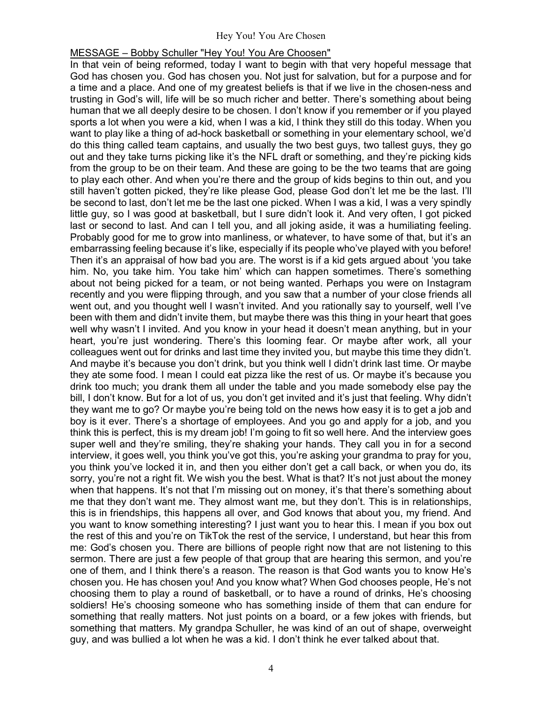## MESSAGE – Bobby Schuller "Hey You! You Are Choosen"

In that vein of being reformed, today I want to begin with that very hopeful message that God has chosen you. God has chosen you. Not just for salvation, but for a purpose and for a time and a place. And one of my greatest beliefs is that if we live in the chosen-ness and trusting in God's will, life will be so much richer and better. There's something about being human that we all deeply desire to be chosen. I don't know if you remember or if you played sports a lot when you were a kid, when I was a kid, I think they still do this today. When you want to play like a thing of ad-hock basketball or something in your elementary school, we'd do this thing called team captains, and usually the two best guys, two tallest guys, they go out and they take turns picking like it's the NFL draft or something, and they're picking kids from the group to be on their team. And these are going to be the two teams that are going to play each other. And when you're there and the group of kids begins to thin out, and you still haven't gotten picked, they're like please God, please God don't let me be the last. I'll be second to last, don't let me be the last one picked. When I was a kid, I was a very spindly little guy, so I was good at basketball, but I sure didn't look it. And very often, I got picked last or second to last. And can I tell you, and all joking aside, it was a humiliating feeling. Probably good for me to grow into manliness, or whatever, to have some of that, but it's an embarrassing feeling because it's like, especially if its people who've played with you before! Then it's an appraisal of how bad you are. The worst is if a kid gets argued about 'you take him. No, you take him. You take him' which can happen sometimes. There's something about not being picked for a team, or not being wanted. Perhaps you were on Instagram recently and you were flipping through, and you saw that a number of your close friends all went out, and you thought well I wasn't invited. And you rationally say to yourself, well I've been with them and didn't invite them, but maybe there was this thing in your heart that goes well why wasn't I invited. And you know in your head it doesn't mean anything, but in your heart, you're just wondering. There's this looming fear. Or maybe after work, all your colleagues went out for drinks and last time they invited you, but maybe this time they didn't. And maybe it's because you don't drink, but you think well I didn't drink last time. Or maybe they ate some food. I mean I could eat pizza like the rest of us. Or maybe it's because you drink too much; you drank them all under the table and you made somebody else pay the bill, I don't know. But for a lot of us, you don't get invited and it's just that feeling. Why didn't they want me to go? Or maybe you're being told on the news how easy it is to get a job and boy is it ever. There's a shortage of employees. And you go and apply for a job, and you think this is perfect, this is my dream job! I'm going to fit so well here. And the interview goes super well and they're smiling, they're shaking your hands. They call you in for a second interview, it goes well, you think you've got this, you're asking your grandma to pray for you, you think you've locked it in, and then you either don't get a call back, or when you do, its sorry, you're not a right fit. We wish you the best. What is that? It's not just about the money when that happens. It's not that I'm missing out on money, it's that there's something about me that they don't want me. They almost want me, but they don't. This is in relationships, this is in friendships, this happens all over, and God knows that about you, my friend. And you want to know something interesting? I just want you to hear this. I mean if you box out the rest of this and you're on TikTok the rest of the service, I understand, but hear this from me: God's chosen you. There are billions of people right now that are not listening to this sermon. There are just a few people of that group that are hearing this sermon, and you're one of them, and I think there's a reason. The reason is that God wants you to know He's chosen you. He has chosen you! And you know what? When God chooses people, He's not choosing them to play a round of basketball, or to have a round of drinks, He's choosing soldiers! He's choosing someone who has something inside of them that can endure for something that really matters. Not just points on a board, or a few jokes with friends, but something that matters. My grandpa Schuller, he was kind of an out of shape, overweight guy, and was bullied a lot when he was a kid. I don't think he ever talked about that.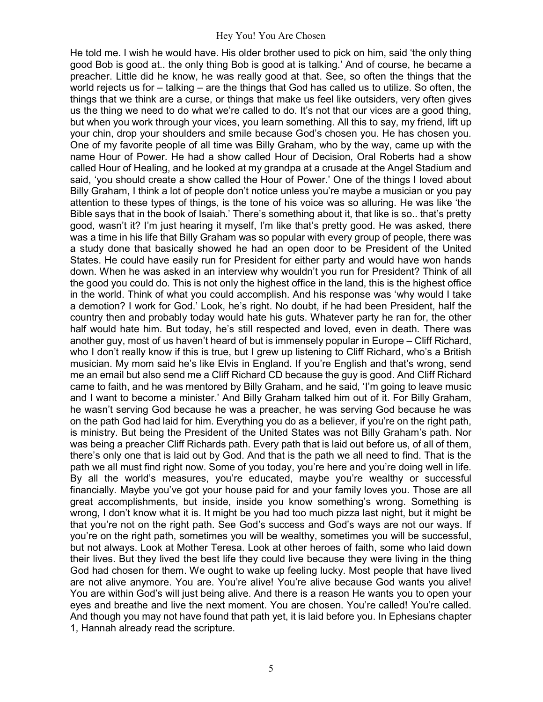He told me. I wish he would have. His older brother used to pick on him, said 'the only thing good Bob is good at.. the only thing Bob is good at is talking.' And of course, he became a preacher. Little did he know, he was really good at that. See, so often the things that the world rejects us for – talking – are the things that God has called us to utilize. So often, the things that we think are a curse, or things that make us feel like outsiders, very often gives us the thing we need to do what we're called to do. It's not that our vices are a good thing, but when you work through your vices, you learn something. All this to say, my friend, lift up your chin, drop your shoulders and smile because God's chosen you. He has chosen you. One of my favorite people of all time was Billy Graham, who by the way, came up with the name Hour of Power. He had a show called Hour of Decision, Oral Roberts had a show called Hour of Healing, and he looked at my grandpa at a crusade at the Angel Stadium and said, 'you should create a show called the Hour of Power.' One of the things I loved about Billy Graham, I think a lot of people don't notice unless you're maybe a musician or you pay attention to these types of things, is the tone of his voice was so alluring. He was like 'the Bible says that in the book of Isaiah.' There's something about it, that like is so.. that's pretty good, wasn't it? I'm just hearing it myself, I'm like that's pretty good. He was asked, there was a time in his life that Billy Graham was so popular with every group of people, there was a study done that basically showed he had an open door to be President of the United States. He could have easily run for President for either party and would have won hands down. When he was asked in an interview why wouldn't you run for President? Think of all the good you could do. This is not only the highest office in the land, this is the highest office in the world. Think of what you could accomplish. And his response was 'why would I take a demotion? I work for God.' Look, he's right. No doubt, if he had been President, half the country then and probably today would hate his guts. Whatever party he ran for, the other half would hate him. But today, he's still respected and loved, even in death. There was another guy, most of us haven't heard of but is immensely popular in Europe – Cliff Richard, who I don't really know if this is true, but I grew up listening to Cliff Richard, who's a British musician. My mom said he's like Elvis in England. If you're English and that's wrong, send me an email but also send me a Cliff Richard CD because the guy is good. And Cliff Richard came to faith, and he was mentored by Billy Graham, and he said, 'I'm going to leave music and I want to become a minister.' And Billy Graham talked him out of it. For Billy Graham, he wasn't serving God because he was a preacher, he was serving God because he was on the path God had laid for him. Everything you do as a believer, if you're on the right path, is ministry. But being the President of the United States was not Billy Graham's path. Nor was being a preacher Cliff Richards path. Every path that is laid out before us, of all of them, there's only one that is laid out by God. And that is the path we all need to find. That is the path we all must find right now. Some of you today, you're here and you're doing well in life. By all the world's measures, you're educated, maybe you're wealthy or successful financially. Maybe you've got your house paid for and your family loves you. Those are all great accomplishments, but inside, inside you know something's wrong. Something is wrong, I don't know what it is. It might be you had too much pizza last night, but it might be that you're not on the right path. See God's success and God's ways are not our ways. If you're on the right path, sometimes you will be wealthy, sometimes you will be successful, but not always. Look at Mother Teresa. Look at other heroes of faith, some who laid down their lives. But they lived the best life they could live because they were living in the thing God had chosen for them. We ought to wake up feeling lucky. Most people that have lived are not alive anymore. You are. You're alive! You're alive because God wants you alive! You are within God's will just being alive. And there is a reason He wants you to open your eyes and breathe and live the next moment. You are chosen. You're called! You're called. And though you may not have found that path yet, it is laid before you. In Ephesians chapter 1, Hannah already read the scripture.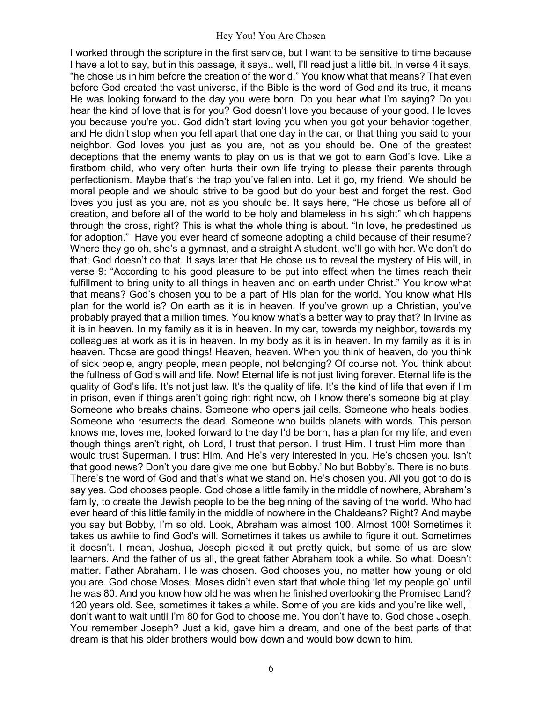I worked through the scripture in the first service, but I want to be sensitive to time because I have a lot to say, but in this passage, it says.. well, I'll read just a little bit. In verse 4 it says, "he chose us in him before the creation of the world." You know what that means? That even before God created the vast universe, if the Bible is the word of God and its true, it means He was looking forward to the day you were born. Do you hear what I'm saying? Do you hear the kind of love that is for you? God doesn't love you because of your good. He loves you because you're you. God didn't start loving you when you got your behavior together, and He didn't stop when you fell apart that one day in the car, or that thing you said to your neighbor. God loves you just as you are, not as you should be. One of the greatest deceptions that the enemy wants to play on us is that we got to earn God's love. Like a firstborn child, who very often hurts their own life trying to please their parents through perfectionism. Maybe that's the trap you've fallen into. Let it go, my friend. We should be moral people and we should strive to be good but do your best and forget the rest. God loves you just as you are, not as you should be. It says here, "He chose us before all of creation, and before all of the world to be holy and blameless in his sight" which happens through the cross, right? This is what the whole thing is about. "In love, he predestined us for adoption." Have you ever heard of someone adopting a child because of their resume? Where they go oh, she's a gymnast, and a straight A student, we'll go with her. We don't do that; God doesn't do that. It says later that He chose us to reveal the mystery of His will, in verse 9: "According to his good pleasure to be put into effect when the times reach their fulfillment to bring unity to all things in heaven and on earth under Christ." You know what that means? God's chosen you to be a part of His plan for the world. You know what His plan for the world is? On earth as it is in heaven. If you've grown up a Christian, you've probably prayed that a million times. You know what's a better way to pray that? In Irvine as it is in heaven. In my family as it is in heaven. In my car, towards my neighbor, towards my colleagues at work as it is in heaven. In my body as it is in heaven. In my family as it is in heaven. Those are good things! Heaven, heaven. When you think of heaven, do you think of sick people, angry people, mean people, not belonging? Of course not. You think about the fullness of God's will and life. Now! Eternal life is not just living forever. Eternal life is the quality of God's life. It's not just law. It's the quality of life. It's the kind of life that even if I'm in prison, even if things aren't going right right now, oh I know there's someone big at play. Someone who breaks chains. Someone who opens jail cells. Someone who heals bodies. Someone who resurrects the dead. Someone who builds planets with words. This person knows me, loves me, looked forward to the day I'd be born, has a plan for my life, and even though things aren't right, oh Lord, I trust that person. I trust Him. I trust Him more than I would trust Superman. I trust Him. And He's very interested in you. He's chosen you. Isn't that good news? Don't you dare give me one 'but Bobby.' No but Bobby's. There is no buts. There's the word of God and that's what we stand on. He's chosen you. All you got to do is say yes. God chooses people. God chose a little family in the middle of nowhere, Abraham's family, to create the Jewish people to be the beginning of the saving of the world. Who had ever heard of this little family in the middle of nowhere in the Chaldeans? Right? And maybe you say but Bobby, I'm so old. Look, Abraham was almost 100. Almost 100! Sometimes it takes us awhile to find God's will. Sometimes it takes us awhile to figure it out. Sometimes it doesn't. I mean, Joshua, Joseph picked it out pretty quick, but some of us are slow learners. And the father of us all, the great father Abraham took a while. So what. Doesn't matter. Father Abraham. He was chosen. God chooses you, no matter how young or old you are. God chose Moses. Moses didn't even start that whole thing 'let my people go' until he was 80. And you know how old he was when he finished overlooking the Promised Land? 120 years old. See, sometimes it takes a while. Some of you are kids and you're like well, I don't want to wait until I'm 80 for God to choose me. You don't have to. God chose Joseph. You remember Joseph? Just a kid, gave him a dream, and one of the best parts of that dream is that his older brothers would bow down and would bow down to him.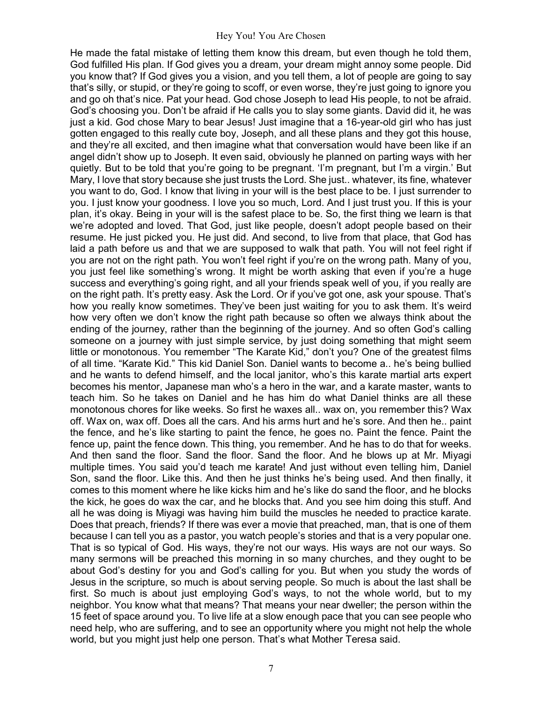He made the fatal mistake of letting them know this dream, but even though he told them, God fulfilled His plan. If God gives you a dream, your dream might annoy some people. Did you know that? If God gives you a vision, and you tell them, a lot of people are going to say that's silly, or stupid, or they're going to scoff, or even worse, they're just going to ignore you and go oh that's nice. Pat your head. God chose Joseph to lead His people, to not be afraid. God's choosing you. Don't be afraid if He calls you to slay some giants. David did it, he was just a kid. God chose Mary to bear Jesus! Just imagine that a 16-year-old girl who has just gotten engaged to this really cute boy, Joseph, and all these plans and they got this house, and they're all excited, and then imagine what that conversation would have been like if an angel didn't show up to Joseph. It even said, obviously he planned on parting ways with her quietly. But to be told that you're going to be pregnant. 'I'm pregnant, but I'm a virgin.' But Mary, I love that story because she just trusts the Lord. She just.. whatever, its fine, whatever you want to do, God. I know that living in your will is the best place to be. I just surrender to you. I just know your goodness. I love you so much, Lord. And I just trust you. If this is your plan, it's okay. Being in your will is the safest place to be. So, the first thing we learn is that we're adopted and loved. That God, just like people, doesn't adopt people based on their resume. He just picked you. He just did. And second, to live from that place, that God has laid a path before us and that we are supposed to walk that path. You will not feel right if you are not on the right path. You won't feel right if you're on the wrong path. Many of you, you just feel like something's wrong. It might be worth asking that even if you're a huge success and everything's going right, and all your friends speak well of you, if you really are on the right path. It's pretty easy. Ask the Lord. Or if you've got one, ask your spouse. That's how you really know sometimes. They've been just waiting for you to ask them. It's weird how very often we don't know the right path because so often we always think about the ending of the journey, rather than the beginning of the journey. And so often God's calling someone on a journey with just simple service, by just doing something that might seem little or monotonous. You remember "The Karate Kid," don't you? One of the greatest films of all time. "Karate Kid." This kid Daniel Son. Daniel wants to become a.. he's being bullied and he wants to defend himself, and the local janitor, who's this karate martial arts expert becomes his mentor, Japanese man who's a hero in the war, and a karate master, wants to teach him. So he takes on Daniel and he has him do what Daniel thinks are all these monotonous chores for like weeks. So first he waxes all.. wax on, you remember this? Wax off. Wax on, wax off. Does all the cars. And his arms hurt and he's sore. And then he.. paint the fence, and he's like starting to paint the fence, he goes no. Paint the fence. Paint the fence up, paint the fence down. This thing, you remember. And he has to do that for weeks. And then sand the floor. Sand the floor. Sand the floor. And he blows up at Mr. Miyagi multiple times. You said you'd teach me karate! And just without even telling him, Daniel Son, sand the floor. Like this. And then he just thinks he's being used. And then finally, it comes to this moment where he like kicks him and he's like do sand the floor, and he blocks the kick, he goes do wax the car, and he blocks that. And you see him doing this stuff. And all he was doing is Miyagi was having him build the muscles he needed to practice karate. Does that preach, friends? If there was ever a movie that preached, man, that is one of them because I can tell you as a pastor, you watch people's stories and that is a very popular one. That is so typical of God. His ways, they're not our ways. His ways are not our ways. So many sermons will be preached this morning in so many churches, and they ought to be about God's destiny for you and God's calling for you. But when you study the words of Jesus in the scripture, so much is about serving people. So much is about the last shall be first. So much is about just employing God's ways, to not the whole world, but to my neighbor. You know what that means? That means your near dweller; the person within the 15 feet of space around you. To live life at a slow enough pace that you can see people who need help, who are suffering, and to see an opportunity where you might not help the whole world, but you might just help one person. That's what Mother Teresa said.